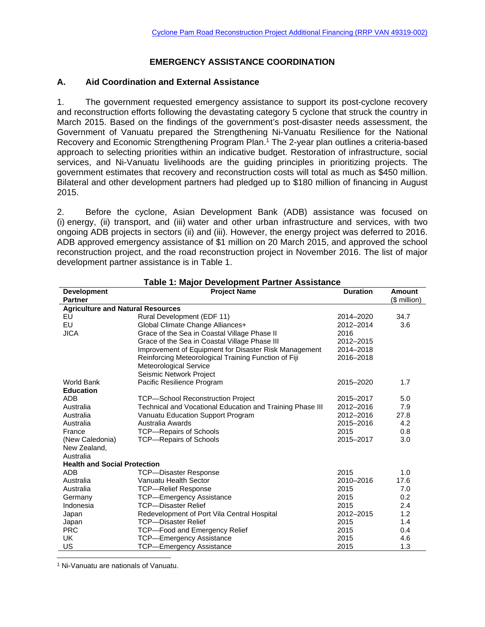# **EMERGENCY ASSISTANCE COORDINATION**

### **A. Aid Coordination and External Assistance**

1. The government requested emergency assistance to support its post-cyclone recovery and reconstruction efforts following the devastating category 5 cyclone that struck the country in March 2015. Based on the findings of the government's post-disaster needs assessment, the Government of Vanuatu prepared the Strengthening Ni-Vanuatu Resilience for the National Recovery and Economic Strengthening Program Plan.<sup>1</sup> The 2-year plan outlines a criteria-based approach to selecting priorities within an indicative budget. Restoration of infrastructure, social services, and Ni-Vanuatu livelihoods are the guiding principles in prioritizing projects. The government estimates that recovery and reconstruction costs will total as much as \$450 million. Bilateral and other development partners had pledged up to \$180 million of financing in August 2015.

2. Before the cyclone, Asian Development Bank (ADB) assistance was focused on (i) energy, (ii) transport, and (iii) water and other urban infrastructure and services, with two ongoing ADB projects in sectors (ii) and (iii). However, the energy project was deferred to 2016. ADB approved emergency assistance of \$1 million on 20 March 2015, and approved the school reconstruction project, and the road reconstruction project in November 2016. The list of major development partner assistance is in Table 1.

| <b>Development</b>                       | <b>Project Name</b>                                       | <b>Duration</b> | <b>Amount</b> |  |  |
|------------------------------------------|-----------------------------------------------------------|-----------------|---------------|--|--|
| <b>Partner</b>                           |                                                           |                 | (\$ million)  |  |  |
| <b>Agriculture and Natural Resources</b> |                                                           |                 |               |  |  |
| EU                                       | Rural Development (EDF 11)                                | 2014-2020       | 34.7          |  |  |
| EU                                       | Global Climate Change Alliances+                          | 2012-2014       | 3.6           |  |  |
| <b>JICA</b>                              | Grace of the Sea in Coastal Village Phase II              | 2016            |               |  |  |
|                                          | Grace of the Sea in Coastal Village Phase III             | 2012-2015       |               |  |  |
|                                          | Improvement of Equipment for Disaster Risk Management     | 2014-2018       |               |  |  |
|                                          | Reinforcing Meteorological Training Function of Fiji      | 2016-2018       |               |  |  |
|                                          | Meteorological Service                                    |                 |               |  |  |
|                                          | Seismic Network Project                                   |                 |               |  |  |
| <b>World Bank</b>                        | Pacific Resilience Program                                | 2015-2020       | 1.7           |  |  |
| <b>Education</b>                         |                                                           |                 |               |  |  |
| <b>ADB</b>                               | <b>TCP-School Reconstruction Project</b>                  | 2015-2017       | 5.0           |  |  |
| Australia                                | Technical and Vocational Education and Training Phase III | 2012-2016       | 7.9           |  |  |
| Australia                                | Vanuatu Education Support Program                         | 2012-2016       | 27.8          |  |  |
| Australia                                | Australia Awards                                          | 2015-2016       | 4.2           |  |  |
| France                                   | <b>TCP-Repairs of Schools</b>                             | 2015            | 0.8           |  |  |
| (New Caledonia)                          | <b>TCP-Repairs of Schools</b>                             | 2015-2017       | 3.0           |  |  |
| New Zealand,                             |                                                           |                 |               |  |  |
| Australia                                |                                                           |                 |               |  |  |
| <b>Health and Social Protection</b>      |                                                           |                 |               |  |  |
| <b>ADB</b>                               | <b>TCP-Disaster Response</b>                              | 2015            | 1.0           |  |  |
| Australia                                | Vanuatu Health Sector                                     | 2010-2016       | 17.6          |  |  |
| Australia                                | <b>TCP-Relief Response</b>                                | 2015            | 7.0           |  |  |
| Germany                                  | <b>TCP-Emergency Assistance</b>                           | 2015            | 0.2           |  |  |
| Indonesia                                | <b>TCP-Disaster Relief</b>                                | 2015            | 2.4           |  |  |
| Japan                                    | Redevelopment of Port Vila Central Hospital               | 2012-2015       | 1.2           |  |  |
| Japan                                    | <b>TCP-Disaster Relief</b>                                | 2015            | 1.4           |  |  |
| <b>PRC</b>                               | <b>TCP-Food and Emergency Relief</b>                      | 2015            | 0.4           |  |  |
| UK                                       | <b>TCP-Emergency Assistance</b>                           | 2015            | 4.6           |  |  |
| US                                       | TCP-Emergency Assistance                                  | 2015            | 1.3           |  |  |

### **Table 1: Major Development Partner Assistance**

 1 Ni-Vanuatu are nationals of Vanuatu.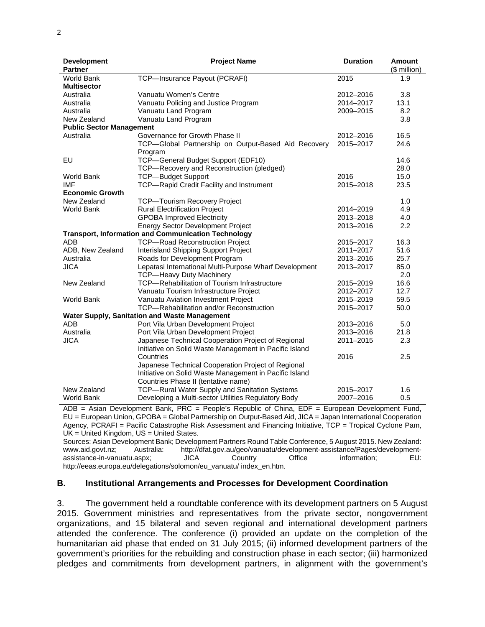| <b>Development</b>              | <b>Project Name</b>                                        | <b>Duration</b> | <b>Amount</b> |  |
|---------------------------------|------------------------------------------------------------|-----------------|---------------|--|
| <b>Partner</b>                  |                                                            |                 | $$$ million)  |  |
| World Bank                      | TCP-Insurance Payout (PCRAFI)                              | 2015            | 1.9           |  |
| <b>Multisector</b>              |                                                            |                 |               |  |
| Australia                       | Vanuatu Women's Centre                                     | 2012-2016       | 3.8           |  |
| Australia                       | Vanuatu Policing and Justice Program                       | 2014-2017       | 13.1          |  |
| Australia                       | Vanuatu Land Program                                       | 2009-2015       | 8.2           |  |
| New Zealand                     | Vanuatu Land Program                                       |                 | 3.8           |  |
| <b>Public Sector Management</b> |                                                            |                 |               |  |
| Australia                       | Governance for Growth Phase II                             | 2012-2016       | 16.5          |  |
|                                 | TCP-Global Partnership on Output-Based Aid Recovery        | 2015-2017       | 24.6          |  |
|                                 | Program                                                    |                 |               |  |
| EU                              | TCP-General Budget Support (EDF10)                         |                 | 14.6          |  |
|                                 | TCP-Recovery and Reconstruction (pledged)                  |                 | 28.0          |  |
| <b>World Bank</b>               | <b>TCP-Budget Support</b>                                  | 2016            | 15.0          |  |
| <b>IMF</b>                      | TCP-Rapid Credit Facility and Instrument                   | 2015-2018       | 23.5          |  |
| <b>Economic Growth</b>          |                                                            |                 |               |  |
| New Zealand                     | TCP-Tourism Recovery Project                               |                 | 1.0           |  |
| <b>World Bank</b>               | <b>Rural Electrification Project</b>                       | 2014-2019       | 4.9           |  |
|                                 | <b>GPOBA Improved Electricity</b>                          | 2013-2018       | 4.0           |  |
|                                 | <b>Energy Sector Development Project</b>                   | 2013-2016       | 2.2           |  |
|                                 | <b>Transport, Information and Communication Technology</b> |                 |               |  |
| ADB                             | <b>TCP-Road Reconstruction Project</b>                     | 2015-2017       | 16.3          |  |
| ADB, New Zealand                | Interisland Shipping Support Project                       | 2011-2017       | 51.6          |  |
| Australia                       | Roads for Development Program                              | 2013-2016       | 25.7          |  |
| <b>JICA</b>                     | Lepatasi International Multi-Purpose Wharf Development     | 2013-2017       | 85.0          |  |
|                                 | <b>TCP-Heavy Duty Machinery</b>                            |                 | 2.0           |  |
| New Zealand                     | TCP-Rehabilitation of Tourism Infrastructure               | 2015-2019       | 16.6          |  |
|                                 | Vanuatu Tourism Infrastructure Project                     | 2012-2017       | 12.7          |  |
| <b>World Bank</b>               | Vanuatu Aviation Investment Project                        | 2015-2019       | 59.5          |  |
|                                 | TCP-Rehabilitation and/or Reconstruction                   | 2015-2017       | 50.0          |  |
|                                 | Water Supply, Sanitation and Waste Management              |                 |               |  |
| <b>ADB</b>                      | Port Vila Urban Development Project                        | 2013-2016       | 5.0           |  |
| Australia                       | Port Vila Urban Development Project                        | 2013-2016       | 21.8          |  |
| <b>JICA</b>                     | Japanese Technical Cooperation Project of Regional         | 2011-2015       | 2.3           |  |
|                                 | Initiative on Solid Waste Management in Pacific Island     |                 |               |  |
|                                 | Countries                                                  | 2016            | 2.5           |  |
|                                 | Japanese Technical Cooperation Project of Regional         |                 |               |  |
|                                 | Initiative on Solid Waste Management in Pacific Island     |                 |               |  |
|                                 | Countries Phase II (tentative name)                        |                 |               |  |
| New Zealand                     | TCP-Rural Water Supply and Sanitation Systems              | 2015-2017       | 1.6           |  |
| <b>World Bank</b>               | Developing a Multi-sector Utilities Regulatory Body        | 2007-2016       | 0.5           |  |

ADB = Asian Development Bank, PRC = People's Republic of China, EDF = European Development Fund, EU = European Union, GPOBA = Global Partnership on Output-Based Aid, JICA = Japan International Cooperation Agency, PCRAFI = Pacific Catastrophe Risk Assessment and Financing Initiative, TCP = Tropical Cyclone Pam, UK = United Kingdom, US = United States.

Sources: Asian Development Bank; Development Partners Round Table Conference, 5 August 2015. New Zealand: www.aid.govt.nz; Australia: http://dfat.gov.au/geo/vanuatu/development-assistance/Pages/developmentassistance-in-vanuatu.aspx; JICA Country Office information; EU: http://eeas.europa.eu/delegations/solomon/eu\_vanuatu/ index\_en.htm.

#### **B. Institutional Arrangements and Processes for Development Coordination**

3. The government held a roundtable conference with its development partners on 5 August 2015. Government ministries and representatives from the private sector, nongovernment organizations, and 15 bilateral and seven regional and international development partners attended the conference. The conference (i) provided an update on the completion of the humanitarian aid phase that ended on 31 July 2015; (ii) informed development partners of the government's priorities for the rebuilding and construction phase in each sector; (iii) harmonized pledges and commitments from development partners, in alignment with the government's